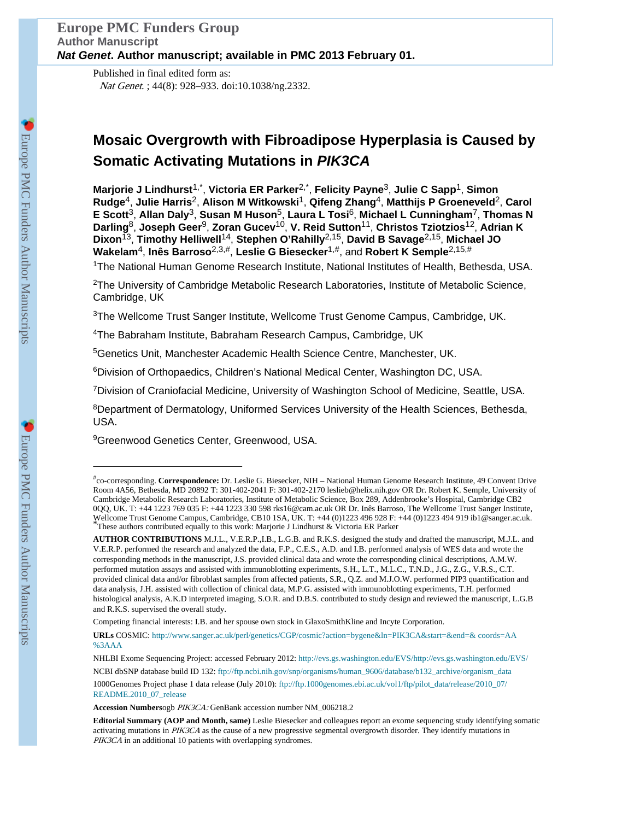Published in final edited form as: Nat Genet. ; 44(8): 928–933. doi:10.1038/ng.2332.

# **Mosaic Overgrowth with Fibroadipose Hyperplasia is Caused by Somatic Activating Mutations in** *PIK3CA*

**Marjorie J Lindhurst**1,\* , **Victoria ER Parker**2,\* , **Felicity Payne**3, **Julie C Sapp**1, **Simon Rudge**4, **Julie Harris**2, **Alison M Witkowski**1, **Qifeng Zhang**4, **Matthijs P Groeneveld**2, **Carol E Scott**3, **Allan Daly**3, **Susan M Huson**5, **Laura L Tosi**6, **Michael L Cunningham**7, **Thomas N Darling**8, **Joseph Geer**9, **Zoran Gucev**10, **V. Reid Sutton**11, **Christos Tziotzios**12, **Adrian K Dixon**13, **Timothy Helliwell**14, **Stephen O'Rahilly**2,15, **David B Savage**2,15, **Michael JO Wakelam**4, **Inês Barroso**2,3,#, **Leslie G Biesecker**1,#, and **Robert K Semple**2,15,#

<sup>1</sup>The National Human Genome Research Institute, National Institutes of Health, Bethesda, USA.

<sup>2</sup>The University of Cambridge Metabolic Research Laboratories, Institute of Metabolic Science, Cambridge, UK

<sup>3</sup>The Wellcome Trust Sanger Institute, Wellcome Trust Genome Campus, Cambridge, UK.

<sup>4</sup>The Babraham Institute, Babraham Research Campus, Cambridge, UK

<sup>5</sup>Genetics Unit, Manchester Academic Health Science Centre, Manchester, UK.

<sup>6</sup>Division of Orthopaedics, Children's National Medical Center, Washington DC, USA.

<sup>7</sup>Division of Craniofacial Medicine, University of Washington School of Medicine, Seattle, USA.

<sup>8</sup>Department of Dermatology, Uniformed Services University of the Health Sciences, Bethesda, USA.

<sup>9</sup>Greenwood Genetics Center, Greenwood, USA.

<sup>#</sup> co-corresponding. **Correspondence:** Dr. Leslie G. Biesecker, NIH – National Human Genome Research Institute, 49 Convent Drive Room 4A56, Bethesda, MD 20892 T: 301-402-2041 F: 301-402-2170 leslieb@helix.nih.gov OR Dr. Robert K. Semple, University of Cambridge Metabolic Research Laboratories, Institute of Metabolic Science, Box 289, Addenbrooke's Hospital, Cambridge CB2 0QQ, UK. T: +44 1223 769 035 F: +44 1223 330 598 rks16@cam.ac.uk OR Dr. Inês Barroso, The Wellcome Trust Sanger Institute, Wellcome Trust Genome Campus, Cambridge, CB10 1SA, UK. T: +44 (0)1223 496 928 F: +44 (0)1223 494 919 ib1@sanger.ac.uk. \*These authors contributed equally to this work: Marjorie J Lindhurst & Victoria ER Parker

**AUTHOR CONTRIBUTIONS** M.J.L., V.E.R.P.,I.B., L.G.B. and R.K.S. designed the study and drafted the manuscript, M.J.L. and V.E.R.P. performed the research and analyzed the data, F.P., C.E.S., A.D. and I.B. performed analysis of WES data and wrote the corresponding methods in the manuscript, J.S. provided clinical data and wrote the corresponding clinical descriptions, A.M.W. performed mutation assays and assisted with immunoblotting experiments, S.H., L.T., M.L.C., T.N.D., J.G., Z.G., V.R.S., C.T. provided clinical data and/or fibroblast samples from affected patients, S.R., Q.Z. and M.J.O.W. performed PIP3 quantification and data analysis, J.H. assisted with collection of clinical data, M.P.G. assisted with immunoblotting experiments, T.H. performed histological analysis, A.K.D interpreted imaging, S.O.R. and D.B.S. contributed to study design and reviewed the manuscript, L.G.B and R.K.S. supervised the overall study.

Competing financial interests: I.B. and her spouse own stock in GlaxoSmithKline and Incyte Corporation.

**URLs** COSMIC: [http://www.sanger.ac.uk/perl/genetics/CGP/cosmic?action=bygene&ln=PIK3CA&start=&end=& coords=AA](http://www.sanger.ac.uk/perl/genetics/CGP/cosmic?action=bygene&ln=PIK3CA&start=&end=&coords=AA%3AAA) [%3AAA](http://www.sanger.ac.uk/perl/genetics/CGP/cosmic?action=bygene&ln=PIK3CA&start=&end=&coords=AA%3AAA)

NHLBI Exome Sequencing Project: accessed February 2012:<http://evs.gs.washington.edu/EVS/http://evs.gs.washington.edu/EVS/>

NCBI dbSNP database build ID 132: [ftp://ftp.ncbi.nih.gov/snp/organisms/human\\_9606/database/b132\\_archive/organism\\_data](ftp://ftp.ncbi.nih.gov/snp/organisms/human_9606/database/b132_archive/organism_data)

<sup>1000</sup>Genomes Project phase 1 data release (July 2010): [ftp://ftp.1000genomes.ebi.ac.uk/vol1/ftp/pilot\\_data/release/2010\\_07/](ftp://ftp.1000genomes.ebi.ac.uk/vol1/ftp/pilot_data/release/2010_07/README.2010_07_release) [README.2010\\_07\\_release](ftp://ftp.1000genomes.ebi.ac.uk/vol1/ftp/pilot_data/release/2010_07/README.2010_07_release)

**Accession Numbers**ogb PIK3CA: GenBank accession number NM\_006218.2

**Editorial Summary (AOP and Month, same)** Leslie Biesecker and colleagues report an exome sequencing study identifying somatic activating mutations in PIK3CA as the cause of a new progressive segmental overgrowth disorder. They identify mutations in PIK3CA in an additional 10 patients with overlapping syndromes.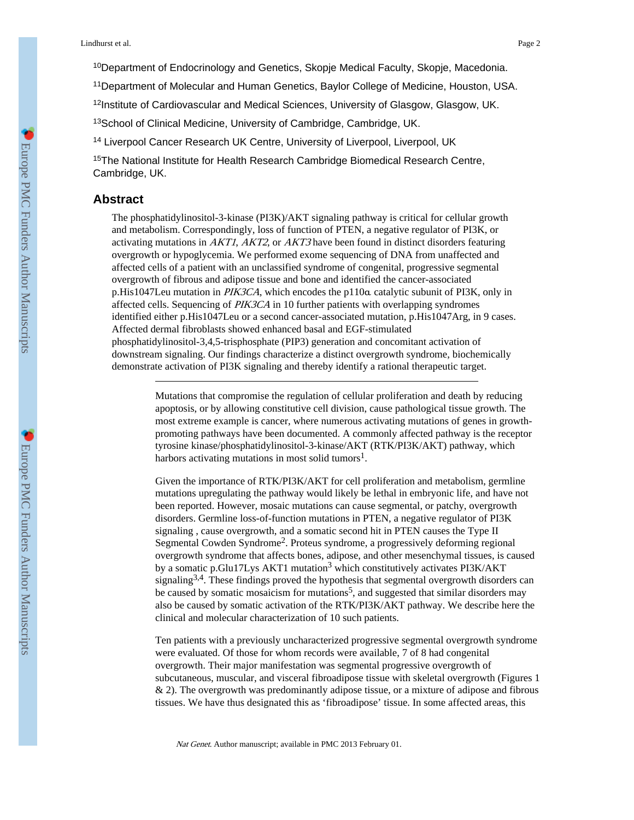<sup>10</sup>Department of Endocrinology and Genetics, Skopje Medical Faculty, Skopje, Macedonia.

<sup>11</sup>Department of Molecular and Human Genetics, Baylor College of Medicine, Houston, USA.

<sup>12</sup>Institute of Cardiovascular and Medical Sciences, University of Glasgow, Glasgow, UK.

<sup>13</sup>School of Clinical Medicine, University of Cambridge, Cambridge, UK.

<sup>14</sup> Liverpool Cancer Research UK Centre, University of Liverpool, Liverpool, UK

<sup>15</sup>The National Institute for Health Research Cambridge Biomedical Research Centre, Cambridge, UK.

# **Abstract**

The phosphatidylinositol-3-kinase (PI3K)/AKT signaling pathway is critical for cellular growth and metabolism. Correspondingly, loss of function of PTEN, a negative regulator of PI3K, or activating mutations in  $AKT1$ ,  $AKT2$ , or  $AKT3$  have been found in distinct disorders featuring overgrowth or hypoglycemia. We performed exome sequencing of DNA from unaffected and affected cells of a patient with an unclassified syndrome of congenital, progressive segmental overgrowth of fibrous and adipose tissue and bone and identified the cancer-associated p.His1047Leu mutation in PIK3CA, which encodes the p110α catalytic subunit of PI3K, only in affected cells. Sequencing of PIK3CA in 10 further patients with overlapping syndromes identified either p.His1047Leu or a second cancer-associated mutation, p.His1047Arg, in 9 cases. Affected dermal fibroblasts showed enhanced basal and EGF-stimulated phosphatidylinositol-3,4,5-trisphosphate (PIP3) generation and concomitant activation of downstream signaling. Our findings characterize a distinct overgrowth syndrome, biochemically demonstrate activation of PI3K signaling and thereby identify a rational therapeutic target.

> Mutations that compromise the regulation of cellular proliferation and death by reducing apoptosis, or by allowing constitutive cell division, cause pathological tissue growth. The most extreme example is cancer, where numerous activating mutations of genes in growthpromoting pathways have been documented. A commonly affected pathway is the receptor tyrosine kinase/phosphatidylinositol-3-kinase/AKT (RTK/PI3K/AKT) pathway, which harbors activating mutations in most solid tumors<sup>1</sup>.

> Given the importance of RTK/PI3K/AKT for cell proliferation and metabolism, germline mutations upregulating the pathway would likely be lethal in embryonic life, and have not been reported. However, mosaic mutations can cause segmental, or patchy, overgrowth disorders. Germline loss-of-function mutations in PTEN, a negative regulator of PI3K signaling , cause overgrowth, and a somatic second hit in PTEN causes the Type II Segmental Cowden Syndrome<sup>2</sup> . Proteus syndrome, a progressively deforming regional overgrowth syndrome that affects bones, adipose, and other mesenchymal tissues, is caused by a somatic p.Glu17Lys AKT1 mutation<sup>3</sup> which constitutively activates PI3K/AKT signaling<sup>3,4</sup>. These findings proved the hypothesis that segmental overgrowth disorders can be caused by somatic mosaicism for mutations<sup>5</sup>, and suggested that similar disorders may also be caused by somatic activation of the RTK/PI3K/AKT pathway. We describe here the clinical and molecular characterization of 10 such patients.

Ten patients with a previously uncharacterized progressive segmental overgrowth syndrome were evaluated. Of those for whom records were available, 7 of 8 had congenital overgrowth. Their major manifestation was segmental progressive overgrowth of subcutaneous, muscular, and visceral fibroadipose tissue with skeletal overgrowth (Figures 1 & 2). The overgrowth was predominantly adipose tissue, or a mixture of adipose and fibrous tissues. We have thus designated this as 'fibroadipose' tissue. In some affected areas, this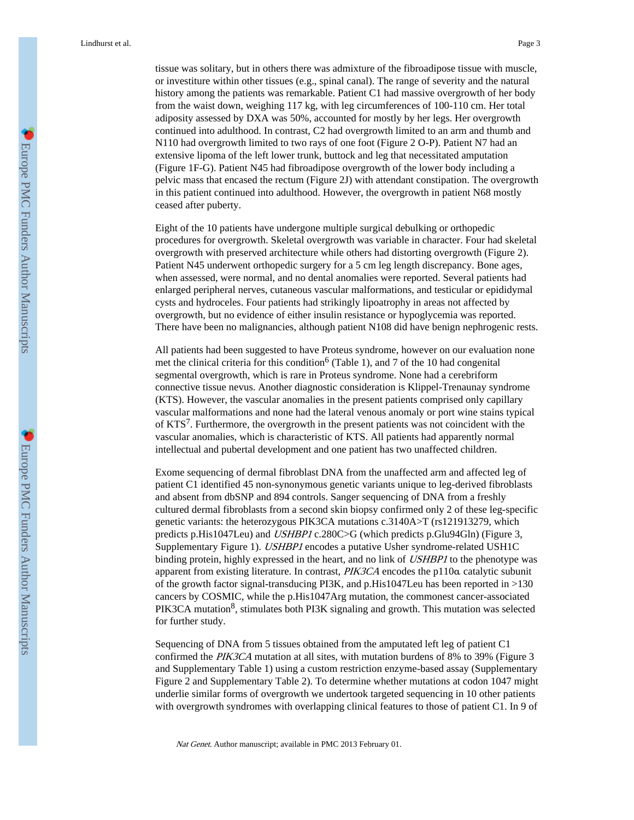tissue was solitary, but in others there was admixture of the fibroadipose tissue with muscle, or investiture within other tissues (e.g., spinal canal). The range of severity and the natural history among the patients was remarkable. Patient C1 had massive overgrowth of her body from the waist down, weighing 117 kg, with leg circumferences of 100-110 cm. Her total adiposity assessed by DXA was 50%, accounted for mostly by her legs. Her overgrowth continued into adulthood. In contrast, C2 had overgrowth limited to an arm and thumb and N110 had overgrowth limited to two rays of one foot (Figure 2 O-P). Patient N7 had an extensive lipoma of the left lower trunk, buttock and leg that necessitated amputation (Figure 1F-G). Patient N45 had fibroadipose overgrowth of the lower body including a pelvic mass that encased the rectum (Figure 2J) with attendant constipation. The overgrowth in this patient continued into adulthood. However, the overgrowth in patient N68 mostly ceased after puberty.

Eight of the 10 patients have undergone multiple surgical debulking or orthopedic procedures for overgrowth. Skeletal overgrowth was variable in character. Four had skeletal overgrowth with preserved architecture while others had distorting overgrowth (Figure 2). Patient N45 underwent orthopedic surgery for a 5 cm leg length discrepancy. Bone ages, when assessed, were normal, and no dental anomalies were reported. Several patients had enlarged peripheral nerves, cutaneous vascular malformations, and testicular or epididymal cysts and hydroceles. Four patients had strikingly lipoatrophy in areas not affected by overgrowth, but no evidence of either insulin resistance or hypoglycemia was reported. There have been no malignancies, although patient N108 did have benign nephrogenic rests.

All patients had been suggested to have Proteus syndrome, however on our evaluation none met the clinical criteria for this condition<sup>6</sup> (Table 1), and 7 of the 10 had congenital segmental overgrowth, which is rare in Proteus syndrome. None had a cerebriform connective tissue nevus. Another diagnostic consideration is Klippel-Trenaunay syndrome (KTS). However, the vascular anomalies in the present patients comprised only capillary vascular malformations and none had the lateral venous anomaly or port wine stains typical of KTS<sup>7</sup>. Furthermore, the overgrowth in the present patients was not coincident with the vascular anomalies, which is characteristic of KTS. All patients had apparently normal intellectual and pubertal development and one patient has two unaffected children.

Exome sequencing of dermal fibroblast DNA from the unaffected arm and affected leg of patient C1 identified 45 non-synonymous genetic variants unique to leg-derived fibroblasts and absent from dbSNP and 894 controls. Sanger sequencing of DNA from a freshly cultured dermal fibroblasts from a second skin biopsy confirmed only 2 of these leg-specific genetic variants: the heterozygous PIK3CA mutations c.3140A>T (rs121913279, which predicts p.His1047Leu) and USHBP1 c.280C>G (which predicts p.Glu94Gln) (Figure 3, Supplementary Figure 1). USHBP1 encodes a putative Usher syndrome-related USH1C binding protein, highly expressed in the heart, and no link of USHBP1 to the phenotype was apparent from existing literature. In contrast, PIK3CA encodes the p110α catalytic subunit of the growth factor signal-transducing PI3K, and p.His1047Leu has been reported in >130 cancers by COSMIC, while the p.His1047Arg mutation, the commonest cancer-associated PIK3CA mutation<sup>8</sup>, stimulates both PI3K signaling and growth. This mutation was selected for further study.

Sequencing of DNA from 5 tissues obtained from the amputated left leg of patient C1 confirmed the PIK3CA mutation at all sites, with mutation burdens of 8% to 39% (Figure 3 and Supplementary Table 1) using a custom restriction enzyme-based assay (Supplementary Figure 2 and Supplementary Table 2). To determine whether mutations at codon 1047 might underlie similar forms of overgrowth we undertook targeted sequencing in 10 other patients with overgrowth syndromes with overlapping clinical features to those of patient C1. In 9 of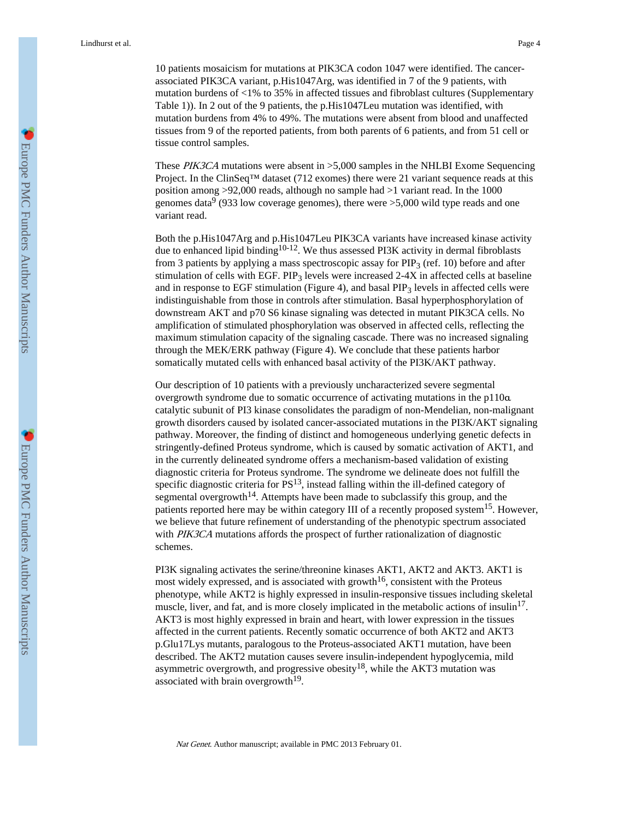10 patients mosaicism for mutations at PIK3CA codon 1047 were identified. The cancerassociated PIK3CA variant, p.His1047Arg, was identified in 7 of the 9 patients, with mutation burdens of <1% to 35% in affected tissues and fibroblast cultures (Supplementary Table 1)). In 2 out of the 9 patients, the p.His1047Leu mutation was identified, with mutation burdens from 4% to 49%. The mutations were absent from blood and unaffected tissues from 9 of the reported patients, from both parents of 6 patients, and from 51 cell or tissue control samples.

These PIK3CA mutations were absent in >5,000 samples in the NHLBI Exome Sequencing Project. In the ClinSeq<sup>TM</sup> dataset (712 exomes) there were 21 variant sequence reads at this position among >92,000 reads, although no sample had >1 variant read. In the 1000 genomes data<sup>9</sup> (933 low coverage genomes), there were >5,000 wild type reads and one variant read.

Both the p.His1047Arg and p.His1047Leu PIK3CA variants have increased kinase activity due to enhanced lipid binding<sup>10-12</sup>. We thus assessed PI3K activity in dermal fibroblasts from 3 patients by applying a mass spectroscopic assay for  $PIP<sub>3</sub>$  (ref. 10) before and after stimulation of cells with EGF. PIP<sub>3</sub> levels were increased  $2-4X$  in affected cells at baseline and in response to EGF stimulation (Figure 4), and basal  $PIP<sub>3</sub>$  levels in affected cells were indistinguishable from those in controls after stimulation. Basal hyperphosphorylation of downstream AKT and p70 S6 kinase signaling was detected in mutant PIK3CA cells. No amplification of stimulated phosphorylation was observed in affected cells, reflecting the maximum stimulation capacity of the signaling cascade. There was no increased signaling through the MEK/ERK pathway (Figure 4). We conclude that these patients harbor somatically mutated cells with enhanced basal activity of the PI3K/AKT pathway.

Our description of 10 patients with a previously uncharacterized severe segmental overgrowth syndrome due to somatic occurrence of activating mutations in the p110α catalytic subunit of PI3 kinase consolidates the paradigm of non-Mendelian, non-malignant growth disorders caused by isolated cancer-associated mutations in the PI3K/AKT signaling pathway. Moreover, the finding of distinct and homogeneous underlying genetic defects in stringently-defined Proteus syndrome, which is caused by somatic activation of AKT1, and in the currently delineated syndrome offers a mechanism-based validation of existing diagnostic criteria for Proteus syndrome. The syndrome we delineate does not fulfill the specific diagnostic criteria for  $PS^{13}$ , instead falling within the ill-defined category of segmental overgrowth<sup>14</sup>. Attempts have been made to subclassify this group, and the patients reported here may be within category III of a recently proposed system<sup>15</sup>. However, we believe that future refinement of understanding of the phenotypic spectrum associated with PIK3CA mutations affords the prospect of further rationalization of diagnostic schemes.

PI3K signaling activates the serine/threonine kinases AKT1, AKT2 and AKT3. AKT1 is most widely expressed, and is associated with growth<sup>16</sup>, consistent with the Proteus phenotype, while AKT2 is highly expressed in insulin-responsive tissues including skeletal muscle, liver, and fat, and is more closely implicated in the metabolic actions of insulin<sup>17</sup>. AKT3 is most highly expressed in brain and heart, with lower expression in the tissues affected in the current patients. Recently somatic occurrence of both AKT2 and AKT3 p.Glu17Lys mutants, paralogous to the Proteus-associated AKT1 mutation, have been described. The AKT2 mutation causes severe insulin-independent hypoglycemia, mild asymmetric overgrowth, and progressive obesity<sup>18</sup>, while the AKT3 mutation was associated with brain overgrowth $^{19}$ .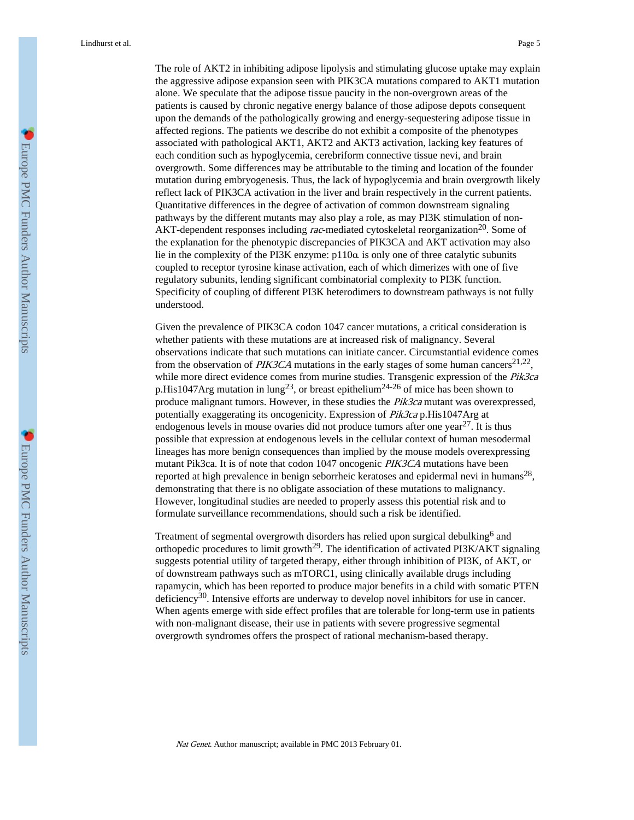The role of AKT2 in inhibiting adipose lipolysis and stimulating glucose uptake may explain the aggressive adipose expansion seen with PIK3CA mutations compared to AKT1 mutation alone. We speculate that the adipose tissue paucity in the non-overgrown areas of the patients is caused by chronic negative energy balance of those adipose depots consequent upon the demands of the pathologically growing and energy-sequestering adipose tissue in affected regions. The patients we describe do not exhibit a composite of the phenotypes associated with pathological AKT1, AKT2 and AKT3 activation, lacking key features of each condition such as hypoglycemia, cerebriform connective tissue nevi, and brain overgrowth. Some differences may be attributable to the timing and location of the founder mutation during embryogenesis. Thus, the lack of hypoglycemia and brain overgrowth likely reflect lack of PIK3CA activation in the liver and brain respectively in the current patients. Quantitative differences in the degree of activation of common downstream signaling pathways by the different mutants may also play a role, as may PI3K stimulation of non-AKT-dependent responses including rac-mediated cytoskeletal reorganization<sup>20</sup>. Some of the explanation for the phenotypic discrepancies of PIK3CA and AKT activation may also lie in the complexity of the PI3K enzyme: p110α is only one of three catalytic subunits coupled to receptor tyrosine kinase activation, each of which dimerizes with one of five regulatory subunits, lending significant combinatorial complexity to PI3K function. Specificity of coupling of different PI3K heterodimers to downstream pathways is not fully understood.

Given the prevalence of PIK3CA codon 1047 cancer mutations, a critical consideration is whether patients with these mutations are at increased risk of malignancy. Several observations indicate that such mutations can initiate cancer. Circumstantial evidence comes from the observation of PIK3CA mutations in the early stages of some human cancers<sup>21,22</sup>, while more direct evidence comes from murine studies. Transgenic expression of the Pik3ca p.His1047Arg mutation in lung<sup>23</sup>, or breast epithelium<sup>24-26</sup> of mice has been shown to produce malignant tumors. However, in these studies the  $Pik3ca$  mutant was overexpressed, potentially exaggerating its oncogenicity. Expression of Pik3ca p.His1047Arg at endogenous levels in mouse ovaries did not produce tumors after one year<sup>27</sup>. It is thus possible that expression at endogenous levels in the cellular context of human mesodermal lineages has more benign consequences than implied by the mouse models overexpressing mutant Pik3ca. It is of note that codon 1047 oncogenic PIK3CA mutations have been reported at high prevalence in benign seborrheic keratoses and epidermal nevi in humans<sup>28</sup>, demonstrating that there is no obligate association of these mutations to malignancy. However, longitudinal studies are needed to properly assess this potential risk and to formulate surveillance recommendations, should such a risk be identified.

Treatment of segmental overgrowth disorders has relied upon surgical debulking<sup>6</sup> and orthopedic procedures to limit growth<sup>29</sup>. The identification of activated PI3K/AKT signaling suggests potential utility of targeted therapy, either through inhibition of PI3K, of AKT, or of downstream pathways such as mTORC1, using clinically available drugs including rapamycin, which has been reported to produce major benefits in a child with somatic PTEN deficiency30. Intensive efforts are underway to develop novel inhibitors for use in cancer. When agents emerge with side effect profiles that are tolerable for long-term use in patients with non-malignant disease, their use in patients with severe progressive segmental overgrowth syndromes offers the prospect of rational mechanism-based therapy.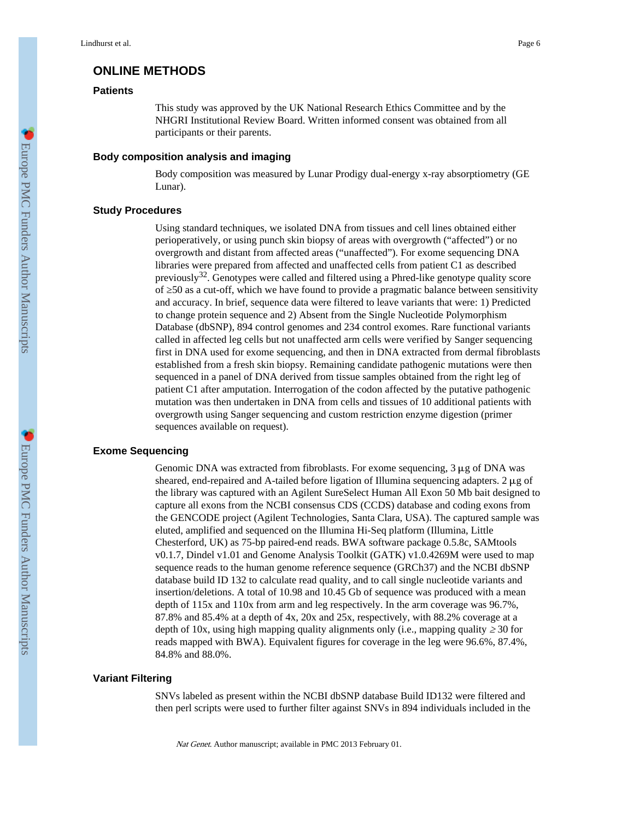# **ONLINE METHODS**

## **Patients**

This study was approved by the UK National Research Ethics Committee and by the NHGRI Institutional Review Board. Written informed consent was obtained from all participants or their parents.

## **Body composition analysis and imaging**

Body composition was measured by Lunar Prodigy dual-energy x-ray absorptiometry (GE Lunar).

## **Study Procedures**

Using standard techniques, we isolated DNA from tissues and cell lines obtained either perioperatively, or using punch skin biopsy of areas with overgrowth ("affected") or no overgrowth and distant from affected areas ("unaffected"). For exome sequencing DNA libraries were prepared from affected and unaffected cells from patient C1 as described previously $32$ . Genotypes were called and filtered using a Phred-like genotype quality score of ≥50 as a cut-off, which we have found to provide a pragmatic balance between sensitivity and accuracy. In brief, sequence data were filtered to leave variants that were: 1) Predicted to change protein sequence and 2) Absent from the Single Nucleotide Polymorphism Database (dbSNP), 894 control genomes and 234 control exomes. Rare functional variants called in affected leg cells but not unaffected arm cells were verified by Sanger sequencing first in DNA used for exome sequencing, and then in DNA extracted from dermal fibroblasts established from a fresh skin biopsy. Remaining candidate pathogenic mutations were then sequenced in a panel of DNA derived from tissue samples obtained from the right leg of patient C1 after amputation. Interrogation of the codon affected by the putative pathogenic mutation was then undertaken in DNA from cells and tissues of 10 additional patients with overgrowth using Sanger sequencing and custom restriction enzyme digestion (primer sequences available on request).

# **Exome Sequencing**

Genomic DNA was extracted from fibroblasts. For exome sequencing,  $3 \mu$ g of DNA was sheared, end-repaired and A-tailed before ligation of Illumina sequencing adapters. 2  $\mu$ g of the library was captured with an Agilent SureSelect Human All Exon 50 Mb bait designed to capture all exons from the NCBI consensus CDS (CCDS) database and coding exons from the GENCODE project (Agilent Technologies, Santa Clara, USA). The captured sample was eluted, amplified and sequenced on the Illumina Hi-Seq platform (Illumina, Little Chesterford, UK) as 75-bp paired-end reads. BWA software package 0.5.8c, SAMtools v0.1.7, Dindel v1.01 and Genome Analysis Toolkit (GATK) v1.0.4269M were used to map sequence reads to the human genome reference sequence (GRCh37) and the NCBI dbSNP database build ID 132 to calculate read quality, and to call single nucleotide variants and insertion/deletions. A total of 10.98 and 10.45 Gb of sequence was produced with a mean depth of 115x and 110x from arm and leg respectively. In the arm coverage was 96.7%, 87.8% and 85.4% at a depth of 4x, 20x and 25x, respectively, with 88.2% coverage at a depth of 10x, using high mapping quality alignments only (i.e., mapping quality 30 for reads mapped with BWA). Equivalent figures for coverage in the leg were 96.6%, 87.4%, 84.8% and 88.0%.

## **Variant Filtering**

SNVs labeled as present within the NCBI dbSNP database Build ID132 were filtered and then perl scripts were used to further filter against SNVs in 894 individuals included in the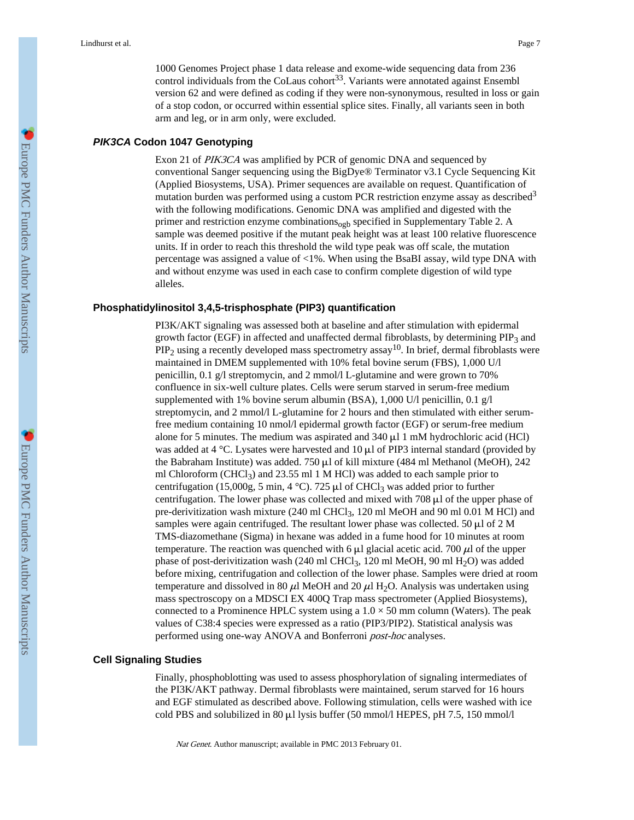1000 Genomes Project phase 1 data release and exome-wide sequencing data from 236 control individuals from the CoLaus cohort<sup>33</sup>. Variants were annotated against Ensembl version 62 and were defined as coding if they were non-synonymous, resulted in loss or gain of a stop codon, or occurred within essential splice sites. Finally, all variants seen in both arm and leg, or in arm only, were excluded.

## *PIK3CA* **Codon 1047 Genotyping**

Exon 21 of PIK3CA was amplified by PCR of genomic DNA and sequenced by conventional Sanger sequencing using the BigDye® Terminator v3.1 Cycle Sequencing Kit (Applied Biosystems, USA). Primer sequences are available on request. Quantification of mutation burden was performed using a custom PCR restriction enzyme assay as described<sup>3</sup> with the following modifications. Genomic DNA was amplified and digested with the primer and restriction enzyme combinations<sub>ogb</sub> specified in Supplementary Table 2. A sample was deemed positive if the mutant peak height was at least 100 relative fluorescence units. If in order to reach this threshold the wild type peak was off scale, the mutation percentage was assigned a value of <1%. When using the BsaBI assay, wild type DNA with and without enzyme was used in each case to confirm complete digestion of wild type alleles.

#### **Phosphatidylinositol 3,4,5-trisphosphate (PIP3) quantification**

PI3K/AKT signaling was assessed both at baseline and after stimulation with epidermal growth factor (EGF) in affected and unaffected dermal fibroblasts, by determining  $PIP_3$  and  $PIP<sub>2</sub>$  using a recently developed mass spectrometry assay<sup>10</sup>. In brief, dermal fibroblasts were maintained in DMEM supplemented with 10% fetal bovine serum (FBS), 1,000 U/l penicillin, 0.1 g/l streptomycin, and 2 mmol/l L-glutamine and were grown to 70% confluence in six-well culture plates. Cells were serum starved in serum-free medium supplemented with 1% bovine serum albumin (BSA), 1,000 U/l penicillin, 0.1 g/l streptomycin, and 2 mmol/l L-glutamine for 2 hours and then stimulated with either serumfree medium containing 10 nmol/l epidermal growth factor (EGF) or serum-free medium alone for 5 minutes. The medium was aspirated and  $340 \,\mu$ l 1 mM hydrochloric acid (HCl) was added at 4 °C. Lysates were harvested and 10 μl of PIP3 internal standard (provided by the Babraham Institute) was added. 750 μl of kill mixture (484 ml Methanol (MeOH), 242 ml Chloroform (CHCl<sub>3</sub>) and 23.55 ml 1 M HCl) was added to each sample prior to centrifugation (15,000g, 5 min, 4 °C). 725 μl of CHCl<sub>3</sub> was added prior to further centrifugation. The lower phase was collected and mixed with 708  $\mu$ l of the upper phase of pre-derivitization wash mixture (240 ml CHCl<sub>3</sub>, 120 ml MeOH and 90 ml 0.01 M HCl) and samples were again centrifuged. The resultant lower phase was collected. 50  $\mu$ l of 2 M TMS-diazomethane (Sigma) in hexane was added in a fume hood for 10 minutes at room temperature. The reaction was quenched with 6  $\mu$ l glacial acetic acid. 700  $\mu$ l of the upper phase of post-derivitization wash (240 ml CHCl<sub>3</sub>, 120 ml MeOH, 90 ml H<sub>2</sub>O) was added before mixing, centrifugation and collection of the lower phase. Samples were dried at room temperature and dissolved in 80  $\mu$ l MeOH and 20  $\mu$ l H<sub>2</sub>O. Analysis was undertaken using mass spectroscopy on a MDSCI EX 400Q Trap mass spectrometer (Applied Biosystems), connected to a Prominence HPLC system using a  $1.0 \times 50$  mm column (Waters). The peak values of C38:4 species were expressed as a ratio (PIP3/PIP2). Statistical analysis was performed using one-way ANOVA and Bonferroni *post-hoc* analyses.

## **Cell Signaling Studies**

Finally, phosphoblotting was used to assess phosphorylation of signaling intermediates of the PI3K/AKT pathway. Dermal fibroblasts were maintained, serum starved for 16 hours and EGF stimulated as described above. Following stimulation, cells were washed with ice cold PBS and solubilized in 80 μl lysis buffer (50 mmol/l HEPES, pH 7.5, 150 mmol/l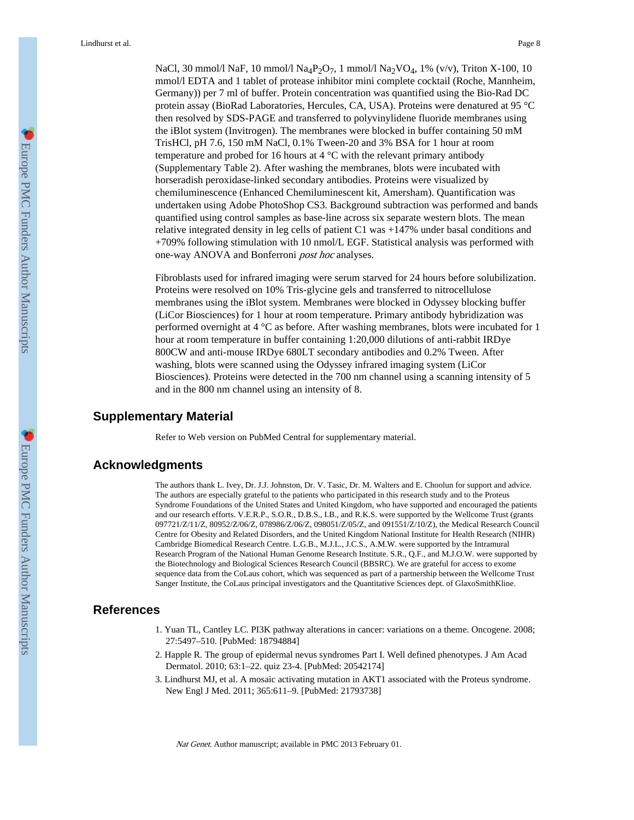NaCl, 30 mmol/l NaF, 10 mmol/l Na<sub>4</sub>P<sub>2</sub>O<sub>7</sub>, 1 mmol/l Na<sub>2</sub>VO<sub>4</sub>, 1% (v/v), Triton X-100, 10 mmol/l EDTA and 1 tablet of protease inhibitor mini complete cocktail (Roche, Mannheim, Germany)) per 7 ml of buffer. Protein concentration was quantified using the Bio-Rad DC protein assay (BioRad Laboratories, Hercules, CA, USA). Proteins were denatured at 95 °C then resolved by SDS-PAGE and transferred to polyvinylidene fluoride membranes using the iBlot system (Invitrogen). The membranes were blocked in buffer containing 50 mM TrisHCl, pH 7.6, 150 mM NaCl, 0.1% Tween-20 and 3% BSA for 1 hour at room temperature and probed for 16 hours at 4 °C with the relevant primary antibody (Supplementary Table 2). After washing the membranes, blots were incubated with horseradish peroxidase-linked secondary antibodies. Proteins were visualized by chemiluminescence (Enhanced Chemiluminescent kit, Amersham). Quantification was undertaken using Adobe PhotoShop CS3. Background subtraction was performed and bands quantified using control samples as base-line across six separate western blots. The mean relative integrated density in leg cells of patient C1 was +147% under basal conditions and +709% following stimulation with 10 nmol/L EGF. Statistical analysis was performed with one-way ANOVA and Bonferroni post hoc analyses.

Fibroblasts used for infrared imaging were serum starved for 24 hours before solubilization. Proteins were resolved on 10% Tris-glycine gels and transferred to nitrocellulose membranes using the iBlot system. Membranes were blocked in Odyssey blocking buffer (LiCor Biosciences) for 1 hour at room temperature. Primary antibody hybridization was performed overnight at 4 °C as before. After washing membranes, blots were incubated for 1 hour at room temperature in buffer containing 1:20,000 dilutions of anti-rabbit IRDye 800CW and anti-mouse IRDye 680LT secondary antibodies and 0.2% Tween. After washing, blots were scanned using the Odyssey infrared imaging system (LiCor Biosciences). Proteins were detected in the 700 nm channel using a scanning intensity of 5 and in the 800 nm channel using an intensity of 8.

## **Supplementary Material**

Refer to Web version on PubMed Central for supplementary material.

# **Acknowledgments**

The authors thank L. Ivey, Dr. J.J. Johnston, Dr. V. Tasic, Dr. M. Walters and E. Choolun for support and advice. The authors are especially grateful to the patients who participated in this research study and to the Proteus Syndrome Foundations of the United States and United Kingdom, who have supported and encouraged the patients and our research efforts. V.E.R.P., S.O.R., D.B.S., I.B., and R.K.S. were supported by the Wellcome Trust (grants 097721/Z/11/Z, 80952/Z/06/Z, 078986/Z/06/Z, 098051/Z/05/Z, and 091551/Z/10/Z), the Medical Research Council Centre for Obesity and Related Disorders, and the United Kingdom National Institute for Health Research (NIHR) Cambridge Biomedical Research Centre. L.G.B., M.J.L., J.C.S., A.M.W. were supported by the Intramural Research Program of the National Human Genome Research Institute. S.R., Q.F., and M.J.O.W. were supported by the Biotechnology and Biological Sciences Research Council (BBSRC). We are grateful for access to exome sequence data from the CoLaus cohort, which was sequenced as part of a partnership between the Wellcome Trust Sanger Institute, the CoLaus principal investigators and the Quantitative Sciences dept. of GlaxoSmithKline.

# **References**

- 1. Yuan TL, Cantley LC. PI3K pathway alterations in cancer: variations on a theme. Oncogene. 2008; 27:5497–510. [PubMed: 18794884]
- 2. Happle R. The group of epidermal nevus syndromes Part I. Well defined phenotypes. J Am Acad Dermatol. 2010; 63:1–22. quiz 23-4. [PubMed: 20542174]
- 3. Lindhurst MJ, et al. A mosaic activating mutation in AKT1 associated with the Proteus syndrome. New Engl J Med. 2011; 365:611–9. [PubMed: 21793738]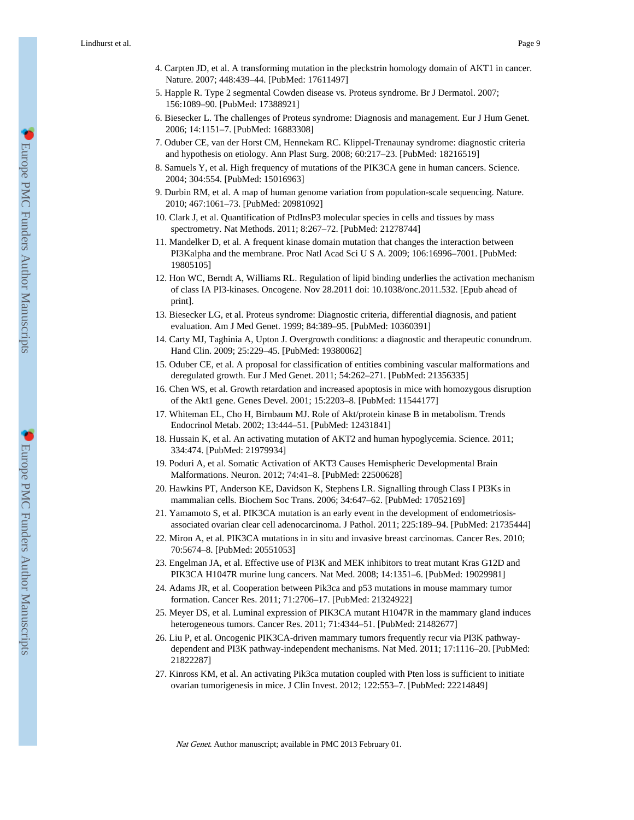- 4. Carpten JD, et al. A transforming mutation in the pleckstrin homology domain of AKT1 in cancer. Nature. 2007; 448:439–44. [PubMed: 17611497]
- 5. Happle R. Type 2 segmental Cowden disease vs. Proteus syndrome. Br J Dermatol. 2007; 156:1089–90. [PubMed: 17388921]
- 6. Biesecker L. The challenges of Proteus syndrome: Diagnosis and management. Eur J Hum Genet. 2006; 14:1151–7. [PubMed: 16883308]
- 7. Oduber CE, van der Horst CM, Hennekam RC. Klippel-Trenaunay syndrome: diagnostic criteria and hypothesis on etiology. Ann Plast Surg. 2008; 60:217–23. [PubMed: 18216519]
- 8. Samuels Y, et al. High frequency of mutations of the PIK3CA gene in human cancers. Science. 2004; 304:554. [PubMed: 15016963]
- 9. Durbin RM, et al. A map of human genome variation from population-scale sequencing. Nature. 2010; 467:1061–73. [PubMed: 20981092]
- 10. Clark J, et al. Quantification of PtdInsP3 molecular species in cells and tissues by mass spectrometry. Nat Methods. 2011; 8:267–72. [PubMed: 21278744]
- 11. Mandelker D, et al. A frequent kinase domain mutation that changes the interaction between PI3Kalpha and the membrane. Proc Natl Acad Sci U S A. 2009; 106:16996–7001. [PubMed: 19805105]
- 12. Hon WC, Berndt A, Williams RL. Regulation of lipid binding underlies the activation mechanism of class IA PI3-kinases. Oncogene. Nov 28.2011 doi: 10.1038/onc.2011.532. [Epub ahead of print].
- 13. Biesecker LG, et al. Proteus syndrome: Diagnostic criteria, differential diagnosis, and patient evaluation. Am J Med Genet. 1999; 84:389–95. [PubMed: 10360391]
- 14. Carty MJ, Taghinia A, Upton J. Overgrowth conditions: a diagnostic and therapeutic conundrum. Hand Clin. 2009; 25:229–45. [PubMed: 19380062]
- 15. Oduber CE, et al. A proposal for classification of entities combining vascular malformations and deregulated growth. Eur J Med Genet. 2011; 54:262–271. [PubMed: 21356335]
- 16. Chen WS, et al. Growth retardation and increased apoptosis in mice with homozygous disruption of the Akt1 gene. Genes Devel. 2001; 15:2203–8. [PubMed: 11544177]
- 17. Whiteman EL, Cho H, Birnbaum MJ. Role of Akt/protein kinase B in metabolism. Trends Endocrinol Metab. 2002; 13:444–51. [PubMed: 12431841]
- 18. Hussain K, et al. An activating mutation of AKT2 and human hypoglycemia. Science. 2011; 334:474. [PubMed: 21979934]
- 19. Poduri A, et al. Somatic Activation of AKT3 Causes Hemispheric Developmental Brain Malformations. Neuron. 2012; 74:41–8. [PubMed: 22500628]
- 20. Hawkins PT, Anderson KE, Davidson K, Stephens LR. Signalling through Class I PI3Ks in mammalian cells. Biochem Soc Trans. 2006; 34:647–62. [PubMed: 17052169]
- 21. Yamamoto S, et al. PIK3CA mutation is an early event in the development of endometriosisassociated ovarian clear cell adenocarcinoma. J Pathol. 2011; 225:189–94. [PubMed: 21735444]
- 22. Miron A, et al. PIK3CA mutations in in situ and invasive breast carcinomas. Cancer Res. 2010; 70:5674–8. [PubMed: 20551053]
- 23. Engelman JA, et al. Effective use of PI3K and MEK inhibitors to treat mutant Kras G12D and PIK3CA H1047R murine lung cancers. Nat Med. 2008; 14:1351–6. [PubMed: 19029981]
- 24. Adams JR, et al. Cooperation between Pik3ca and p53 mutations in mouse mammary tumor formation. Cancer Res. 2011; 71:2706–17. [PubMed: 21324922]
- 25. Meyer DS, et al. Luminal expression of PIK3CA mutant H1047R in the mammary gland induces heterogeneous tumors. Cancer Res. 2011; 71:4344–51. [PubMed: 21482677]
- 26. Liu P, et al. Oncogenic PIK3CA-driven mammary tumors frequently recur via PI3K pathwaydependent and PI3K pathway-independent mechanisms. Nat Med. 2011; 17:1116–20. [PubMed: 21822287]
- 27. Kinross KM, et al. An activating Pik3ca mutation coupled with Pten loss is sufficient to initiate ovarian tumorigenesis in mice. J Clin Invest. 2012; 122:553–7. [PubMed: 22214849]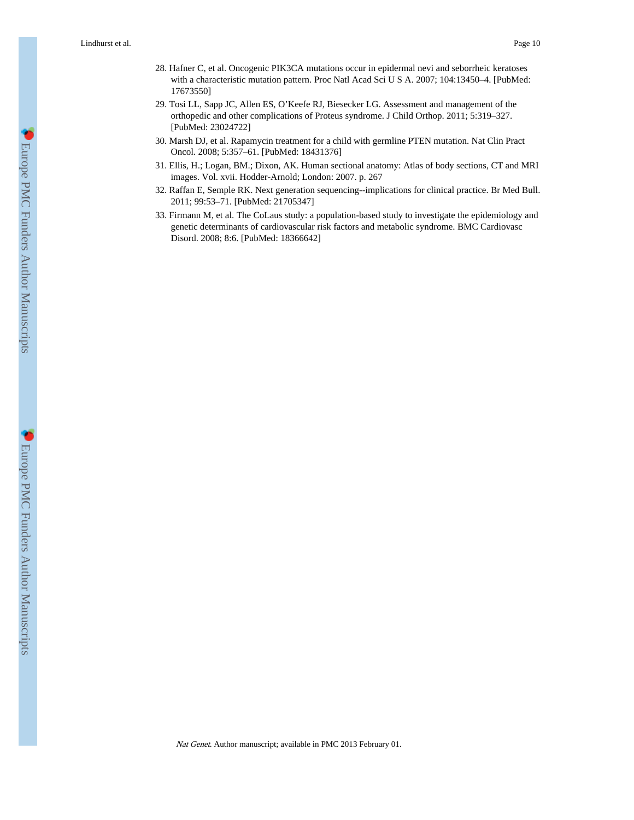- 28. Hafner C, et al. Oncogenic PIK3CA mutations occur in epidermal nevi and seborrheic keratoses with a characteristic mutation pattern. Proc Natl Acad Sci U S A. 2007; 104:13450–4. [PubMed: 17673550]
- 29. Tosi LL, Sapp JC, Allen ES, O'Keefe RJ, Biesecker LG. Assessment and management of the orthopedic and other complications of Proteus syndrome. J Child Orthop. 2011; 5:319–327. [PubMed: 23024722]
- 30. Marsh DJ, et al. Rapamycin treatment for a child with germline PTEN mutation. Nat Clin Pract Oncol. 2008; 5:357–61. [PubMed: 18431376]
- 31. Ellis, H.; Logan, BM.; Dixon, AK. Human sectional anatomy: Atlas of body sections, CT and MRI images. Vol. xvii. Hodder-Arnold; London: 2007. p. 267
- 32. Raffan E, Semple RK. Next generation sequencing--implications for clinical practice. Br Med Bull. 2011; 99:53–71. [PubMed: 21705347]
- 33. Firmann M, et al. The CoLaus study: a population-based study to investigate the epidemiology and genetic determinants of cardiovascular risk factors and metabolic syndrome. BMC Cardiovasc Disord. 2008; 8:6. [PubMed: 18366642]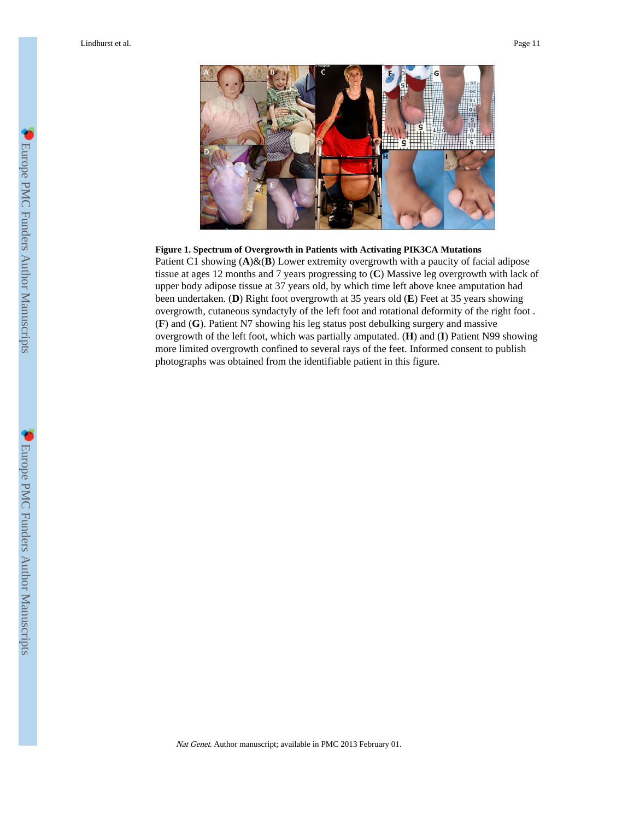Lindhurst et al. Page 11



#### **Figure 1. Spectrum of Overgrowth in Patients with Activating PIK3CA Mutations**

Patient C1 showing  $(A)$ &(**B**) Lower extremity overgrowth with a paucity of facial adipose tissue at ages 12 months and 7 years progressing to (**C**) Massive leg overgrowth with lack of upper body adipose tissue at 37 years old, by which time left above knee amputation had been undertaken. (**D**) Right foot overgrowth at 35 years old (**E**) Feet at 35 years showing overgrowth, cutaneous syndactyly of the left foot and rotational deformity of the right foot . (**F**) and (**G**). Patient N7 showing his leg status post debulking surgery and massive overgrowth of the left foot, which was partially amputated. (**H**) and (**I**) Patient N99 showing more limited overgrowth confined to several rays of the feet. Informed consent to publish photographs was obtained from the identifiable patient in this figure.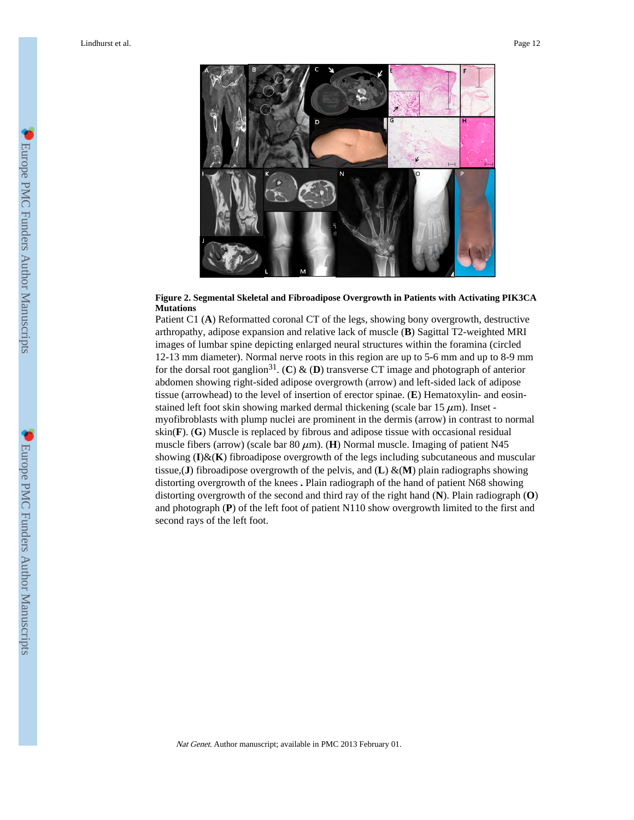

#### **Figure 2. Segmental Skeletal and Fibroadipose Overgrowth in Patients with Activating PIK3CA Mutations**

Patient C1 (**A**) Reformatted coronal CT of the legs, showing bony overgrowth, destructive arthropathy, adipose expansion and relative lack of muscle (**B**) Sagittal T2-weighted MRI images of lumbar spine depicting enlarged neural structures within the foramina (circled 12-13 mm diameter). Normal nerve roots in this region are up to 5-6 mm and up to 8-9 mm for the dorsal root ganglion<sup>31</sup>. (**C**) & (**D**) transverse CT image and photograph of anterior abdomen showing right-sided adipose overgrowth (arrow) and left-sided lack of adipose tissue (arrowhead) to the level of insertion of erector spinae. (**E**) Hematoxylin- and eosinstained left foot skin showing marked dermal thickening (scale bar  $15 \mu m$ ). Inset myofibroblasts with plump nuclei are prominent in the dermis (arrow) in contrast to normal skin(**F**). (**G**) Muscle is replaced by fibrous and adipose tissue with occasional residual muscle fibers (arrow) (scale bar  $80 \mu m$ ). (**H**) Normal muscle. Imaging of patient N45 showing (**I**)&(**K**) fibroadipose overgrowth of the legs including subcutaneous and muscular tissue,(**J**) fibroadipose overgrowth of the pelvis, and (**L**) &(**M**) plain radiographs showing distorting overgrowth of the knees **.** Plain radiograph of the hand of patient N68 showing distorting overgrowth of the second and third ray of the right hand (**N**). Plain radiograph (**O**) and photograph (**P**) of the left foot of patient N110 show overgrowth limited to the first and second rays of the left foot.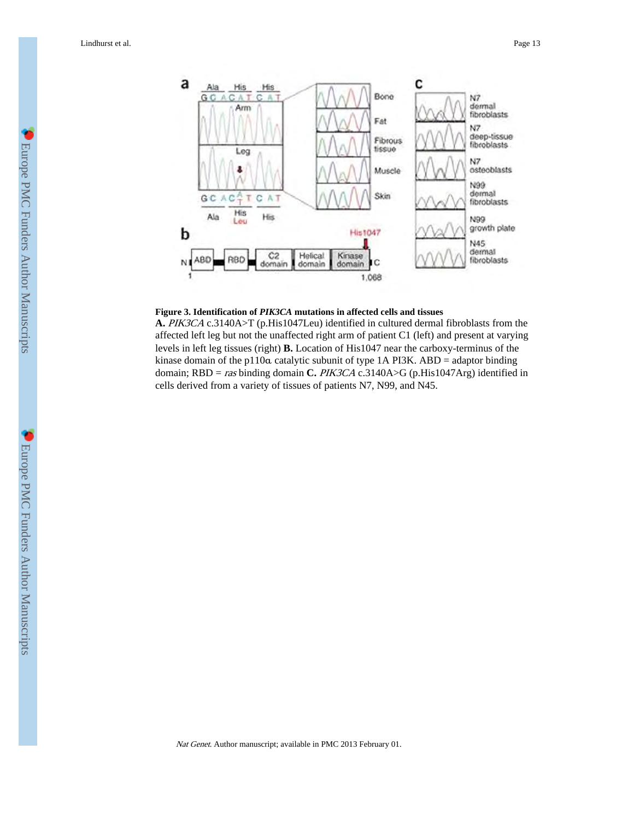

#### **Figure 3. Identification of** *PIK3CA* **mutations in affected cells and tissues**

**A.** PIK3CA c.3140A>T (p.His1047Leu) identified in cultured dermal fibroblasts from the affected left leg but not the unaffected right arm of patient C1 (left) and present at varying levels in left leg tissues (right) **B.** Location of His1047 near the carboxy-terminus of the kinase domain of the p110α catalytic subunit of type 1A PI3K. ABD = adaptor binding domain; RBD = ras binding domain **C.** PIK3CA c.3140A>G (p.His1047Arg) identified in cells derived from a variety of tissues of patients N7, N99, and N45.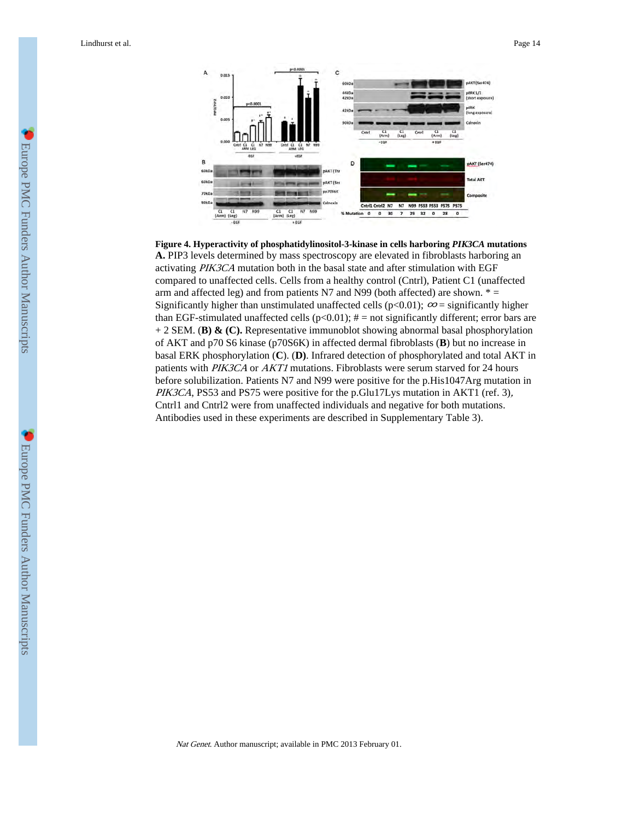

**Figure 4. Hyperactivity of phosphatidylinositol-3-kinase in cells harboring** *PIK3CA* **mutations A.** PIP3 levels determined by mass spectroscopy are elevated in fibroblasts harboring an activating PIK3CA mutation both in the basal state and after stimulation with EGF compared to unaffected cells. Cells from a healthy control (Cntrl), Patient C1 (unaffected arm and affected leg) and from patients N7 and N99 (both affected) are shown.  $* =$ Significantly higher than unstimulated unaffected cells (p<0.01);  $\infty$  = significantly higher than EGF-stimulated unaffected cells ( $p<0.01$ );  $\#$  = not significantly different; error bars are + 2 SEM. (**B) & (C).** Representative immunoblot showing abnormal basal phosphorylation of AKT and p70 S6 kinase (p70S6K) in affected dermal fibroblasts (**B**) but no increase in basal ERK phosphorylation (**C**). (**D)**. Infrared detection of phosphorylated and total AKT in patients with PIK3CA or AKT1 mutations. Fibroblasts were serum starved for 24 hours before solubilization. Patients N7 and N99 were positive for the p.His1047Arg mutation in PIK3CA, PS53 and PS75 were positive for the p.Glu17Lys mutation in AKT1 (ref. 3), Cntrl1 and Cntrl2 were from unaffected individuals and negative for both mutations. Antibodies used in these experiments are described in Supplementary Table 3).